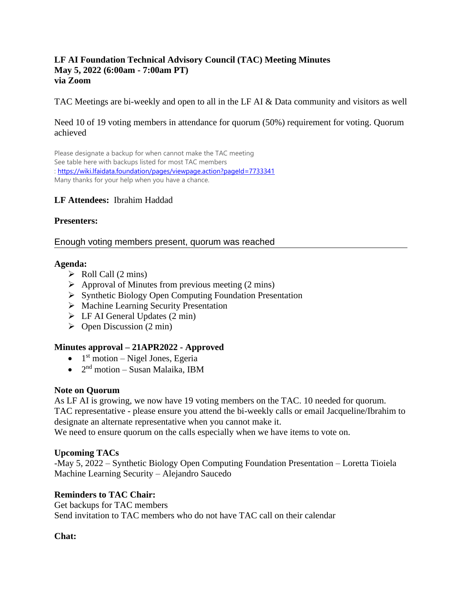#### **LF AI Foundation Technical Advisory Council (TAC) Meeting Minutes May 5, 2022 (6:00am - 7:00am PT) via Zoom**

TAC Meetings are bi-weekly and open to all in the LF AI & Data community and visitors as well

### Need 10 of 19 voting members in attendance for quorum (50%) requirement for voting. Quorum achieved

Please designate a backup for when cannot make the TAC meeting See table here with backups listed for most TAC members :<https://wiki.lfaidata.foundation/pages/viewpage.action?pageId=7733341> Many thanks for your help when you have a chance.

### **LF Attendees:** Ibrahim Haddad

### **Presenters:**

#### Enough voting members present, quorum was reached

#### **Agenda:**

- $\triangleright$  Roll Call (2 mins)
- $\triangleright$  Approval of Minutes from previous meeting (2 mins)
- ➢ Synthetic Biology Open Computing Foundation Presentation
- ➢ Machine Learning Security Presentation
- $\triangleright$  LF AI General Updates (2 min)
- $\triangleright$  Open Discussion (2 min)

### **Minutes approval – 21APR2022 - Approved**

- $\bullet$  1<sup>st</sup> motion Nigel Jones, Egeria
- $\bullet$  2<sup>nd</sup> motion Susan Malaika, IBM

### **Note on Quorum**

As LF AI is growing, we now have 19 voting members on the TAC. 10 needed for quorum. TAC representative - please ensure you attend the bi-weekly calls or email Jacqueline/Ibrahim to designate an alternate representative when you cannot make it.

We need to ensure quorum on the calls especially when we have items to vote on.

### **Upcoming TACs**

-May 5, 2022 – Synthetic Biology Open Computing Foundation Presentation – Loretta Tioiela Machine Learning Security – Alejandro Saucedo

### **Reminders to TAC Chair:**

Get backups for TAC members Send invitation to TAC members who do not have TAC call on their calendar

### **Chat:**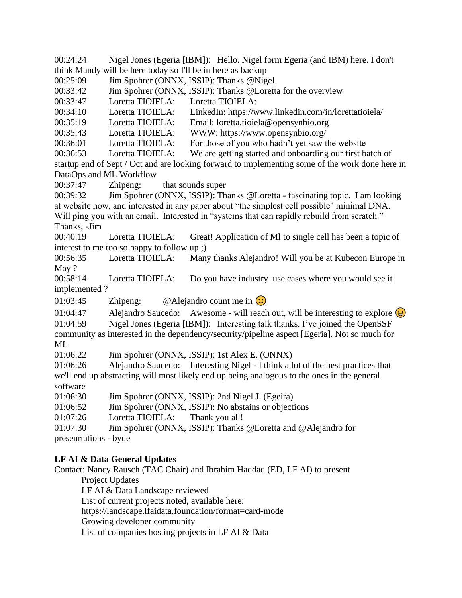00:24:24 Nigel Jones (Egeria [IBM]): Hello. Nigel form Egeria (and IBM) here. I don't think Mandy will be here today so I'll be in here as backup

00:25:09 Jim Spohrer (ONNX, ISSIP): Thanks @Nigel

00:33:42 Jim Spohrer (ONNX, ISSIP): Thanks @Loretta for the overview

00:33:47 Loretta TIOIELA: Loretta TIOIELA:

00:34:10 Loretta TIOIELA: LinkedIn: https://www.linkedin.com/in/lorettatioiela/

00:35:19 Loretta TIOIELA: Email: loretta.tioiela@opensynbio.org

00:35:43 Loretta TIOIELA: WWW: https://www.opensynbio.org/

00:36:01 Loretta TIOIELA: For those of you who hadn't yet saw the website

00:36:53 Loretta TIOIELA: We are getting started and onboarding our first batch of

startup end of Sept / Oct and are looking forward to implementing some of the work done here in DataOps and ML Workflow

00:37:47 Zhipeng: that sounds super

00:39:32 Jim Spohrer (ONNX, ISSIP): Thanks @Loretta - fascinating topic. I am looking at website now, and interested in any paper about "the simplest cell possible" minimal DNA. Will ping you with an email. Interested in "systems that can rapidly rebuild from scratch." Thanks, -Jim

00:40:19 Loretta TIOIELA: Great! Application of Ml to single cell has been a topic of interest to me too so happy to follow up ;)

00:56:35 Loretta TIOIELA: Many thanks Alejandro! Will you be at Kubecon Europe in May ?

00:58:14 Loretta TIOIELA: Do you have industry use cases where you would see it implemented ?

01:03:45 Zhipeng:  $@$  Alejandro count me in  $\bigcirc$ 

01:04:47 Alejandro Saucedo: Awesome - will reach out, will be interesting to explore  $\left(\frac{1}{2}\right)$ 01:04:59 Nigel Jones (Egeria [IBM]): Interesting talk thanks. I've joined the OpenSSF community as interested in the dependency/security/pipeline aspect [Egeria]. Not so much for

ML

01:06:22 Jim Spohrer (ONNX, ISSIP): 1st Alex E. (ONNX)

01:06:26 Alejandro Saucedo: Interesting Nigel - I think a lot of the best practices that we'll end up abstracting will most likely end up being analogous to the ones in the general software

01:06:30 Jim Spohrer (ONNX, ISSIP): 2nd Nigel J. (Egeira)

01:06:52 Jim Spohrer (ONNX, ISSIP): No abstains or objections

01:07:26 Loretta TIOIELA: Thank you all!

01:07:30 Jim Spohrer (ONNX, ISSIP): Thanks @Loretta and @Alejandro for presenrtations - byue

### **LF AI & Data General Updates**

Contact: Nancy Rausch (TAC Chair) and Ibrahim Haddad (ED, LF AI) to present

Project Updates

LF AI & Data Landscape reviewed

List of current projects noted, available here:

https://landscape.lfaidata.foundation/format=card-mode

Growing developer community

List of companies hosting projects in LF AI & Data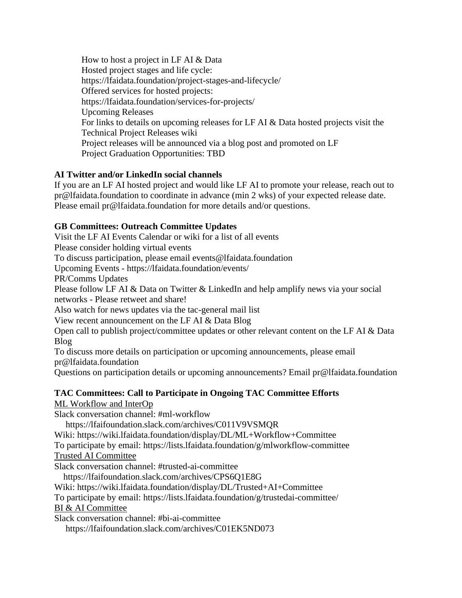How to host a project in LF AI & Data Hosted project stages and life cycle: https://lfaidata.foundation/project-stages-and-lifecycle/ Offered services for hosted projects: https://lfaidata.foundation/services-for-projects/ Upcoming Releases For links to details on upcoming releases for LF AI & Data hosted projects visit the Technical Project Releases wiki Project releases will be announced via a blog post and promoted on LF Project Graduation Opportunities: TBD

# **AI Twitter and/or LinkedIn social channels**

If you are an LF AI hosted project and would like LF AI to promote your release, reach out to pr@lfaidata.foundation to coordinate in advance (min 2 wks) of your expected release date. Please email pr@lfaidata.foundation for more details and/or questions.

## **GB Committees: Outreach Committee Updates**

Visit the LF AI Events Calendar or wiki for a list of all events Please consider holding virtual events To discuss participation, please email events@lfaidata.foundation Upcoming Events - https://lfaidata.foundation/events/ PR/Comms Updates Please follow LF AI & Data on Twitter & LinkedIn and help amplify news via your social networks - Please retweet and share! Also watch for news updates via the tac-general mail list View recent announcement on the LF AI & Data Blog Open call to publish project/committee updates or other relevant content on the LF AI & Data Blog To discuss more details on participation or upcoming announcements, please email pr@lfaidata.foundation

Questions on participation details or upcoming announcements? Email pr@lfaidata.foundation

#### **TAC Committees: Call to Participate in Ongoing TAC Committee Efforts**  ML Workflow and InterOp

Slack conversation channel: #ml-workflow

https://lfaifoundation.slack.com/archives/C011V9VSMQR

Wiki: https://wiki.lfaidata.foundation/display/DL/ML+Workflow+Committee

To participate by email: https://lists.lfaidata.foundation/g/mlworkflow-committee

Trusted AI Committee

Slack conversation channel: #trusted-ai-committee

https://lfaifoundation.slack.com/archives/CPS6Q1E8G

Wiki: https://wiki.lfaidata.foundation/display/DL/Trusted+AI+Committee

To participate by email: https://lists.lfaidata.foundation/g/trustedai-committee/

BI & AI Committee

Slack conversation channel: #bi-ai-committee

https://lfaifoundation.slack.com/archives/C01EK5ND073